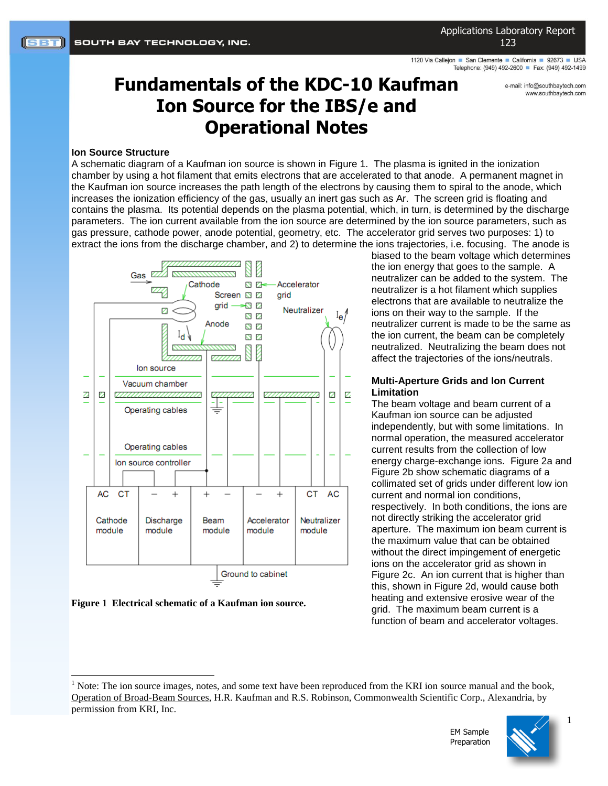Applications Laboratory Report 123

1120 Via Callejon San Clemente California 92673 USA Telephone: (949) 492-2600 Fax: (949) 492-1499

> e-mail: info@southbavtech.com www.southbaytech.com

# **Fundamentals of the KDC-10 Kaufman Ion Source for the IBS/e and Operational Notes**

#### **Ion Source Structure**

A schematic diagram of a Kaufman ion source is shown in [Figure 1.](#page-0-0) The plasma is ignited in the ionization chamber by using a hot filament that emits electrons that are accelerated to that anode. A permanent magnet in the Kaufman ion source increases the path length of the electrons by causing them to spiral to the anode, which increases the ionization efficiency of the gas, usually an inert gas such as Ar. The screen grid is floating and contains the plasma. Its potential depends on the plasma potential, which, in turn, is determined by the discharge parameters. The ion current available from the ion source are determined by the ion source parameters, such as gas pressure, cathode power, anode potential, geometry, etc. The accelerator grid serves two purposes: 1) to extract the ions from the discharge chamber, and 2) to determine the ions trajectories, i.e. focusing. The anode is



<span id="page-0-0"></span>

l

biased to the beam voltage which determines the ion energy that goes to the sample. A neutralizer can be added to the system. The neutralizer is a hot filament which supplies electrons that are available to neutralize the ions on their way to the sample. If the neutralizer current is made to be the same as the ion current, the beam can be completely neutralized. Neutralizing the beam does not affect the trajectories of the ions/neutrals.

#### **Multi-Aperture Grids and Ion Current Limitation**

The beam voltage and beam current of a Kaufman ion source can be adjusted independently, but with some limitations. In normal operation, the measured accelerator current results from the collection of low energy charge-exchange ions. [Figure 2a](#page-1-0) and [Figure 2b](#page-1-0) show schematic diagrams of a collimated set of grids under different low ion current and normal ion conditions, respectively. In both conditions, the ions are not directly striking the accelerator grid aperture. The maximum ion beam current is the maximum value that can be obtained without the direct impingement of energetic ions on the accelerator grid as shown in [Figure 2c](#page-1-0). An ion current that is higher than this, shown in [Figure 2d](#page-1-0), would cause both heating and extensive erosive wear of the grid. The maximum beam current is a function of beam and accelerator voltages.

 $<sup>1</sup>$  Note: The ion source images, notes, and some text have been reproduced from the KRI ion source manual and the book,</sup> Operation of Broad-Beam Sources, H.R. Kaufman and R.S. Robinson, Commonwealth Scientific Corp., Alexandria, by permission from KRI, Inc.



1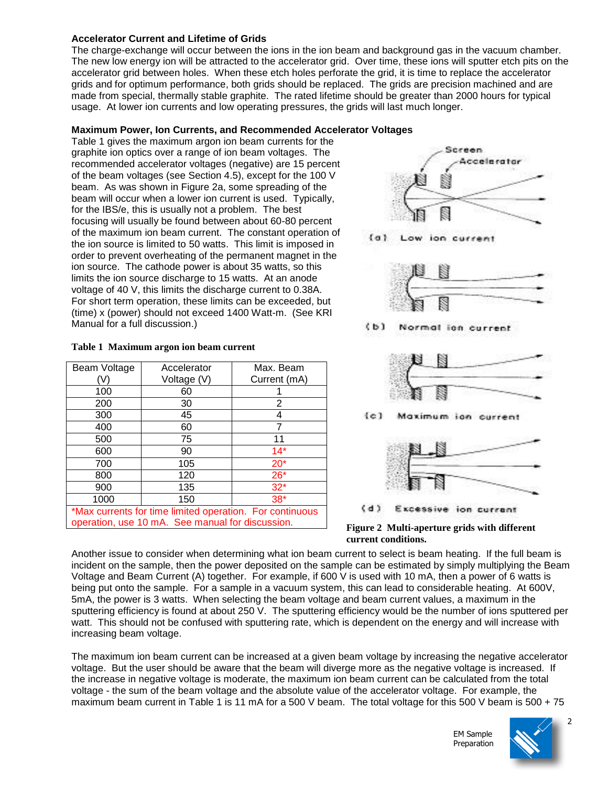### **Accelerator Current and Lifetime of Grids**

The charge-exchange will occur between the ions in the ion beam and background gas in the vacuum chamber. The new low energy ion will be attracted to the accelerator grid. Over time, these ions will sputter etch pits on the accelerator grid between holes. When these etch holes perforate the grid, it is time to replace the accelerator grids and for optimum performance, both grids should be replaced. The grids are precision machined and are made from special, thermally stable graphite. The rated lifetime should be greater than 2000 hours for typical usage. At lower ion currents and low operating pressures, the grids will last much longer.

## **Maximum Power, Ion Currents, and Recommended Accelerator Voltages**

[Table 1](#page-1-1) gives the maximum argon ion beam currents for the graphite ion optics over a range of ion beam voltages. The recommended accelerator voltages (negative) are 15 percent of the beam voltages (see Section 4.5), except for the 100 V beam. As was shown in [Figure 2a](#page-1-0), some spreading of the beam will occur when a lower ion current is used. Typically, for the IBS/e, this is usually not a problem. The best focusing will usually be found between about 60-80 percent of the maximum ion beam current. The constant operation of the ion source is limited to 50 watts. This limit is imposed in order to prevent overheating of the permanent magnet in the ion source. The cathode power is about 35 watts, so this limits the ion source discharge to 15 watts. At an anode voltage of 40 V, this limits the discharge current to 0.38A. For short term operation, these limits can be exceeded, but (time) x (power) should not exceed 1400 Watt-m. (See KRI Manual for a full discussion.)

<span id="page-1-1"></span>

| Table 1 Maximum argon ion beam current |  |  |
|----------------------------------------|--|--|
|                                        |  |  |

| Beam Voltage                                             | Accelerator | Max. Beam    |  |  |
|----------------------------------------------------------|-------------|--------------|--|--|
|                                                          | Voltage (V) | Current (mA) |  |  |
| 100                                                      | 60          |              |  |  |
| 200                                                      | 30          | 2            |  |  |
| 300                                                      | 45          |              |  |  |
| 400                                                      | 60          |              |  |  |
| 500                                                      | 75          | 11           |  |  |
| 600                                                      | 90          | $14*$        |  |  |
| 700                                                      | 105         | $20*$        |  |  |
| 800                                                      | 120         | $26*$        |  |  |
| 900                                                      | 135         | $32*$        |  |  |
| 1000                                                     | 150         | $38*$        |  |  |
| *Max currents for time limited operation. For continuous |             |              |  |  |
| operation, use 10 mA. See manual for discussion.         |             |              |  |  |



<span id="page-1-0"></span>**Figure 2 Multi-aperture grids with different current conditions.**

Another issue to consider when determining what ion beam current to select is beam heating. If the full beam is incident on the sample, then the power deposited on the sample can be estimated by simply multiplying the Beam Voltage and Beam Current (A) together. For example, if 600 V is used with 10 mA, then a power of 6 watts is being put onto the sample. For a sample in a vacuum system, this can lead to considerable heating. At 600V, 5mA, the power is 3 watts. When selecting the beam voltage and beam current values, a maximum in the sputtering efficiency is found at about 250 V. The sputtering efficiency would be the number of ions sputtered per watt. This should not be confused with sputtering rate, which is dependent on the energy and will increase with increasing beam voltage.

The maximum ion beam current can be increased at a given beam voltage by increasing the negative accelerator voltage. But the user should be aware that the beam will diverge more as the negative voltage is increased. If the increase in negative voltage is moderate, the maximum ion beam current can be calculated from the total voltage - the sum of the beam voltage and the absolute value of the accelerator voltage. For example, the maximum beam current in [Table 1](#page-1-1) is 11 mA for a 500 V beam. The total voltage for this 500 V beam is 500 + 75

> EM Sample Preparation

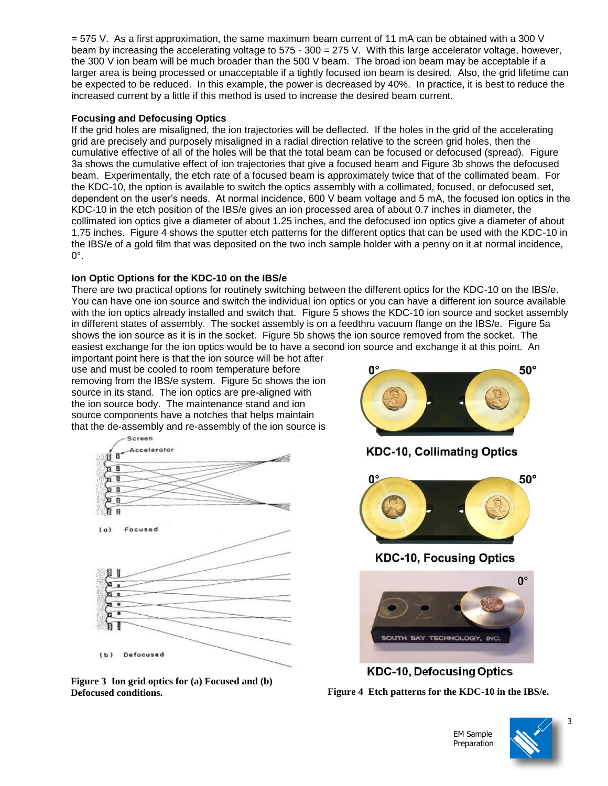= 575 V. As a first approximation, the same maximum beam current of 11 mA can be obtained with a 300 V beam by increasing the accelerating voltage to 575 - 300 = 275 V. With this large accelerator voltage, however, the 300 V ion beam will be much broader than the 500 V beam. The broad ion beam may be acceptable if a larger area is being processed or unacceptable if a tightly focused ion beam is desired. Also, the grid lifetime can be expected to be reduced. In this example, the power is decreased by 40%. In practice, it is best to reduce the increased current by a little if this method is used to increase the desired beam current.

#### **Focusing and Defocusing Optics**

If the grid holes are misaligned, the ion trajectories will be deflected. If the holes in the grid of the accelerating grid are precisely and purposely misaligned in a radial direction relative to the screen grid holes, then the cumulative effective of all of the holes will be that the total beam can be focused or defocused (spread). [Figure](#page-2-0)  [3a](#page-2-0) shows the cumulative effect of ion trajectories that give a focused beam and [Figure 3b](#page-2-0) shows the defocused beam. Experimentally, the etch rate of a focused beam is approximately twice that of the collimated beam. For the KDC-10, the option is available to switch the optics assembly with a collimated, focused, or defocused set, dependent on the user's needs. At normal incidence, 600 V beam voltage and 5 mA, the focused ion optics in the KDC-10 in the etch position of the IBS/e gives an ion processed area of about 0.7 inches in diameter, the collimated ion optics give a diameter of about 1.25 inches, and the defocused ion optics give a diameter of about 1.75 inches. [Figure 4](#page-2-1) shows the sputter etch patterns for the different optics that can be used with the KDC-10 in the IBS/e of a gold film that was deposited on the two inch sample holder with a penny on it at normal incidence,  $0^\circ$ .

## **Ion Optic Options for the KDC-10 on the IBS/e**

There are two practical options for routinely switching between the different optics for the KDC-10 on the IBS/e. You can have one ion source and switch the individual ion optics or you can have a different ion source available with the ion optics already installed and switch that. [Figure 5](#page-3-0) shows the KDC-10 ion source and socket assembly in different states of assembly. The socket assembly is on a feedthru vacuum flange on the IBS/e. [Figure 5a](#page-3-0) shows the ion source as it is in the socket. [Figure 5b](#page-3-0) shows the ion source removed from the socket. The easiest exchange for the ion optics would be to have a second ion source and exchange it at this point. An

important point here is that the ion source will be hot after use and must be cooled to room temperature before removing from the IBS/e system. [Figure 5c](#page-3-0) shows the ion source in its stand. The ion optics are pre-aligned with the ion source body. The maintenance stand and ion source components have a notches that helps maintain that the de-assembly and re-assembly of the ion source is



<span id="page-2-0"></span>







**KDC-10, Focusing Optics** 

<span id="page-2-1"></span>

**KDC-10, Defocusing Optics** 

**Defocused conditions. Figure 4 Etch patterns for the KDC-10 in the IBS/e.**